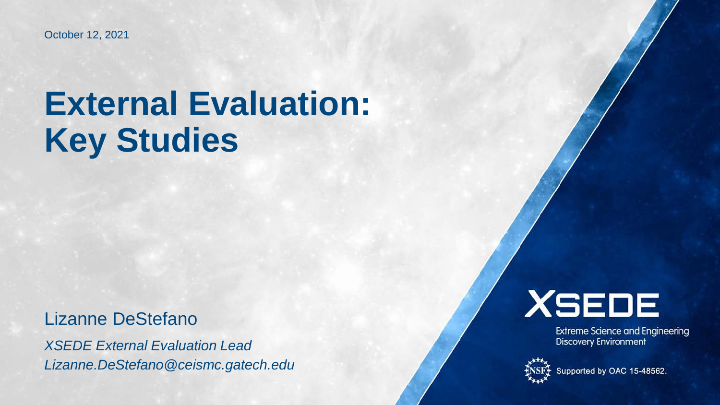October 12, 2021

# **External Evaluation: Key Studies**

Lizanne DeStefano

*XSEDE External Evaluation Lead Lizanne.DeStefano@ceismc.gatech.edu*



**Extreme Science and Engineering**<br>Discovery Environment



Supported by OAC 15-48562.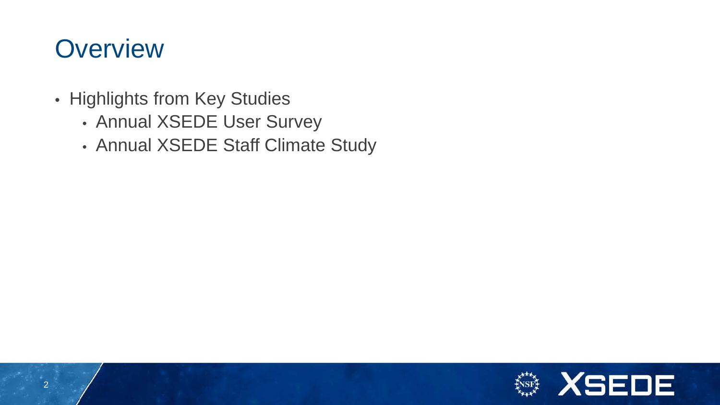# **Overview**

- Highlights from Key Studies
	- Annual XSEDE User Survey
	- Annual XSEDE Staff Climate Study

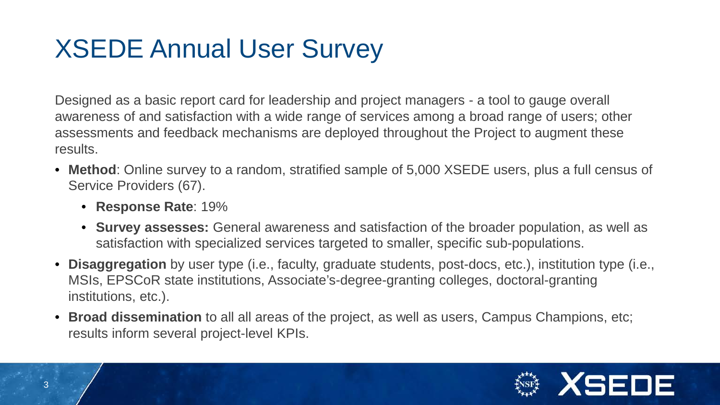# XSEDE Annual User Survey

Designed as a basic report card for leadership and project managers - a tool to gauge overall awareness of and satisfaction with a wide range of services among a broad range of users; other assessments and feedback mechanisms are deployed throughout the Project to augment these results.

- **Method**: Online survey to a random, stratified sample of 5,000 XSEDE users, plus a full census of Service Providers (67).
	- **Response Rate**: 19%
	- **Survey assesses:** General awareness and satisfaction of the broader population, as well as satisfaction with specialized services targeted to smaller, specific sub-populations.
- **Disaggregation** by user type (i.e., faculty, graduate students, post-docs, etc.), institution type (i.e., MSIs, EPSCoR state institutions, Associate's-degree-granting colleges, doctoral-granting institutions, etc.).
- **Broad dissemination** to all all areas of the project, as well as users, Campus Champions, etc; results inform several project-level KPIs.

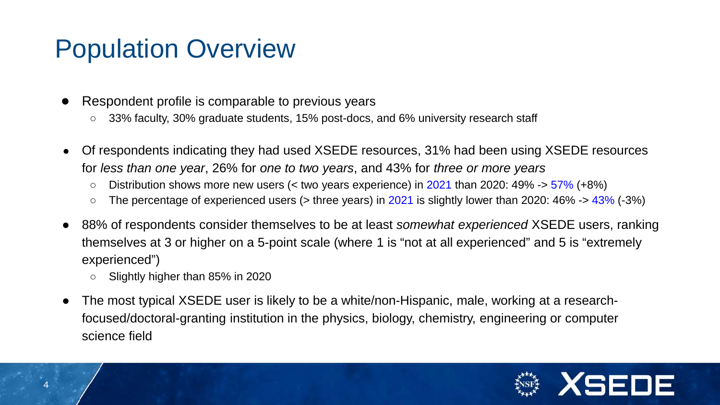# Population Overview

- Respondent profile is comparable to previous years
	- 33% faculty, 30% graduate students, 15% post-docs, and 6% university research staff
- Of respondents indicating they had used XSEDE resources, 31% had been using XSEDE resources for *less than one year*, 26% for *one to two years*, and 43% for *three or more years*
	- $\circ$  Distribution shows more new users (< two years experience) in 2021 than 2020: 49% -> 57% (+8%)
	- The percentage of experienced users (> three years) in 2021 is slightly lower than 2020: 46% -> 43% (-3%)
- 88% of respondents consider themselves to be at least *somewhat experienced* XSEDE users, ranking themselves at 3 or higher on a 5-point scale (where 1 is "not at all experienced" and 5 is "extremely experienced")
	- Slightly higher than 85% in 2020
- The most typical XSEDE user is likely to be a white/non-Hispanic, male, working at a researchfocused/doctoral-granting institution in the physics, biology, chemistry, engineering or computer science field

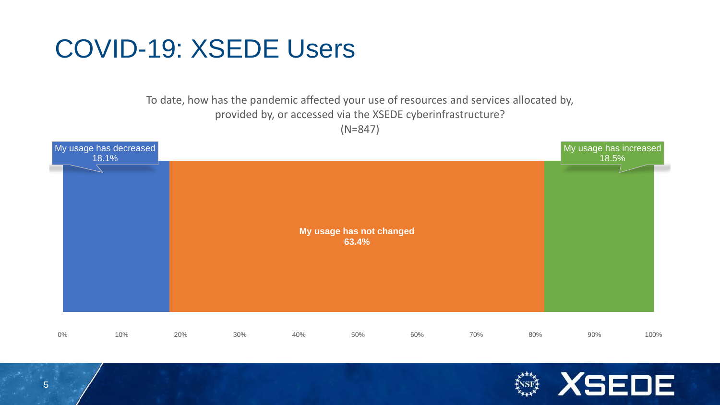# COVID-19: XSEDE Users

#### To date, how has the pandemic affected your use of resources and services allocated by, provided by, or accessed via the XSEDE cyberinfrastructure? (N=847)



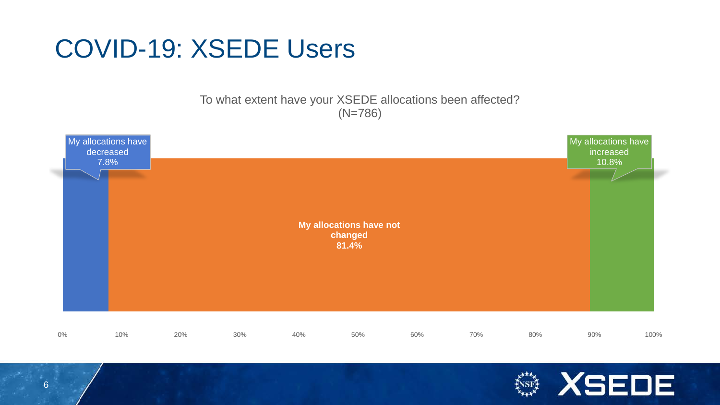# COVID-19: XSEDE Users

To what extent have your XSEDE allocations been affected? (N=786)



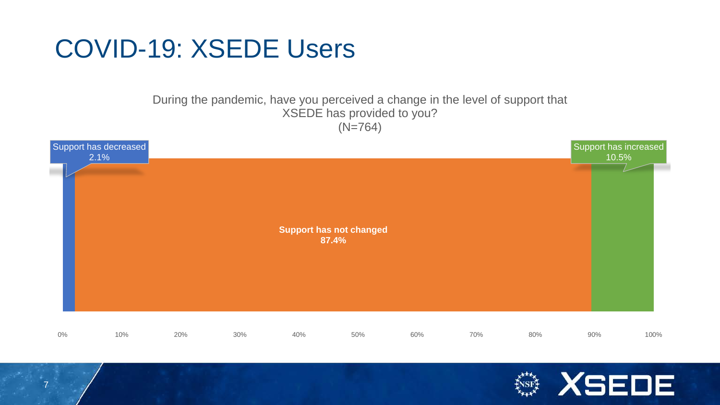# COVID-19: XSEDE Users

7

#### During the pandemic, have you perceived a change in the level of support that XSEDE has provided to you? (N=764)



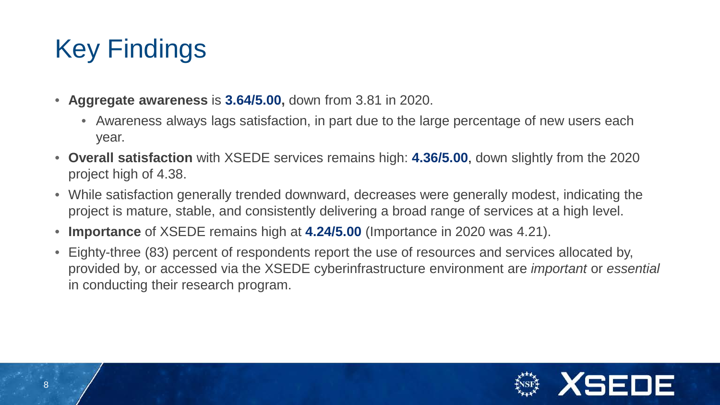# Key Findings

- **Aggregate awareness** is **3.64/5.00,** down from 3.81 in 2020.
	- Awareness always lags satisfaction, in part due to the large percentage of new users each year.
- **Overall satisfaction** with XSEDE services remains high: **4.36/5.00**, down slightly from the 2020 project high of 4.38.
- While satisfaction generally trended downward, decreases were generally modest, indicating the project is mature, stable, and consistently delivering a broad range of services at a high level.
- **Importance** of XSEDE remains high at **4.24/5.00** (Importance in 2020 was 4.21).
- Eighty-three (83) percent of respondents report the use of resources and services allocated by, provided by, or accessed via the XSEDE cyberinfrastructure environment are *important* or *essential* in conducting their research program.

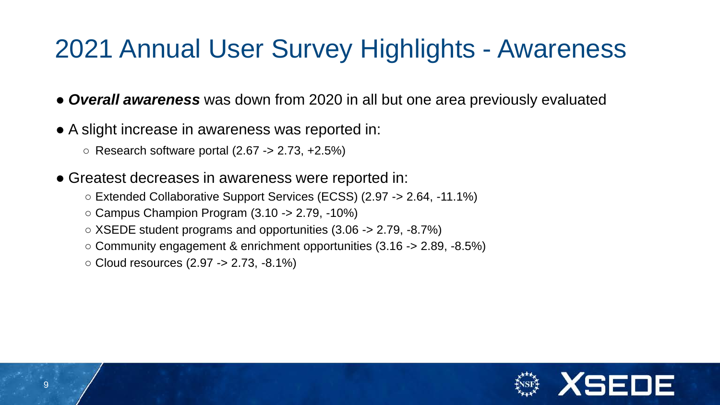# 2021 Annual User Survey Highlights - Awareness

● *Overall awareness* was down from 2020 in all but one area previously evaluated

- A slight increase in awareness was reported in:
	- $\circ$  Research software portal (2.67 -> 2.73, +2.5%)
- Greatest decreases in awareness were reported in:
	- Extended Collaborative Support Services (ECSS) (2.97 -> 2.64, -11.1%)
	- $\circ$  Campus Champion Program (3.10 -> 2.79, -10%)
	- $\circ$  XSEDE student programs and opportunities (3.06 -> 2.79, -8.7%)
	- $\circ$  Community engagement & enrichment opportunities (3.16 -> 2.89, -8.5%)
	- $\circ$  Cloud resources (2.97 -> 2.73, -8.1%)

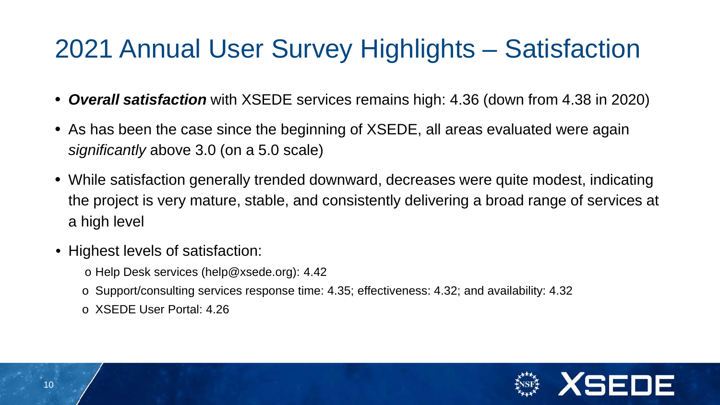# 2021 Annual User Survey Highlights – Satisfaction

- *Overall satisfaction* with XSEDE services remains high: 4.36 (down from 4.38 in 2020)
- As has been the case since the beginning of XSEDE, all areas evaluated were again *significantly* above 3.0 (on a 5.0 scale)
- While satisfaction generally trended downward, decreases were quite modest, indicating the project is very mature, stable, and consistently delivering a broad range of services at a high level
- Highest levels of satisfaction:
	- o Help Desk services (help@xsede.org): 4.42
	- o Support/consulting services response time: 4.35; effectiveness: 4.32; and availability: 4.32
	- o XSEDE User Portal: 4.26

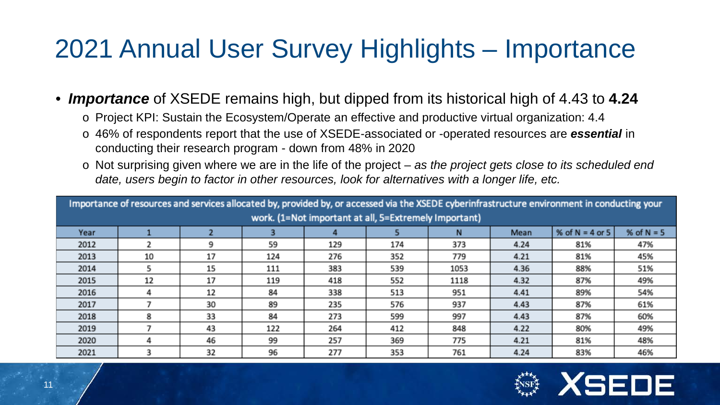# 2021 Annual User Survey Highlights – Importance

#### • *Importance* of XSEDE remains high, but dipped from its historical high of 4.43 to **4.24**

- o Project KPI: Sustain the Ecosystem/Operate an effective and productive virtual organization: 4.4
- o 46% of respondents report that the use of XSEDE-associated or -operated resources are *essential* in conducting their research program - down from 48% in 2020
- o Not surprising given where we are in the life of the project *as the project gets close to its scheduled end date, users begin to factor in other resources, look for alternatives with a longer life, etc.*

| Importance of resources and services allocated by, provided by, or accessed via the XSEDE cyberinfrastructure environment in conducting your |    |    |     |     |     |      |      |                   |              |  |  |  |
|----------------------------------------------------------------------------------------------------------------------------------------------|----|----|-----|-----|-----|------|------|-------------------|--------------|--|--|--|
| work. (1=Not important at all, 5=Extremely Important)                                                                                        |    |    |     |     |     |      |      |                   |              |  |  |  |
| Year                                                                                                                                         |    |    |     |     |     | N    | Mean | % of $N = 4$ or 5 | % of $N = 5$ |  |  |  |
| 2012                                                                                                                                         |    | 9  | 59  | 129 | 174 | 373  | 4.24 | 81%               | 47%          |  |  |  |
| 2013                                                                                                                                         | 10 | 17 | 124 | 276 | 352 | 779  | 4.21 | 81%               | 45%          |  |  |  |
| 2014                                                                                                                                         |    | 15 | 111 | 383 | 539 | 1053 | 4.36 | 88%               | 51%          |  |  |  |
| 2015                                                                                                                                         | 12 | 17 | 119 | 418 | 552 | 1118 | 4.32 | 87%               | 49%          |  |  |  |
| 2016                                                                                                                                         | 4  | 12 | 84  | 338 | 513 | 951  | 4.41 | 89%               | 54%          |  |  |  |
| 2017                                                                                                                                         |    | 30 | 89  | 235 | 576 | 937  | 4.43 | 87%               | 61%          |  |  |  |
| 2018                                                                                                                                         | 8  | 33 | 84  | 273 | 599 | 997  | 4.43 | 87%               | 60%          |  |  |  |
| 2019                                                                                                                                         |    | 43 | 122 | 264 | 412 | 848  | 4.22 | 80%               | 49%          |  |  |  |
| 2020                                                                                                                                         | д  | 46 | 99  | 257 | 369 | 775  | 4.21 | 81%               | 48%          |  |  |  |
| 2021                                                                                                                                         |    | 32 | 96  | 277 | 353 | 761  | 4.24 | 83%               | 46%          |  |  |  |

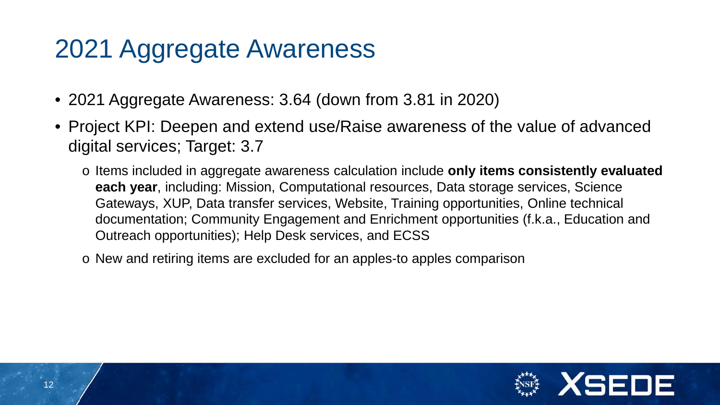# 2021 Aggregate Awareness

- 2021 Aggregate Awareness: 3.64 (down from 3.81 in 2020)
- Project KPI: Deepen and extend use/Raise awareness of the value of advanced digital services; Target: 3.7
	- o Items included in aggregate awareness calculation include **only items consistently evaluated each year**, including: Mission, Computational resources, Data storage services, Science Gateways, XUP, Data transfer services, Website, Training opportunities, Online technical documentation; Community Engagement and Enrichment opportunities (f.k.a., Education and Outreach opportunities); Help Desk services, and ECSS
	- o New and retiring items are excluded for an apples-to apples comparison

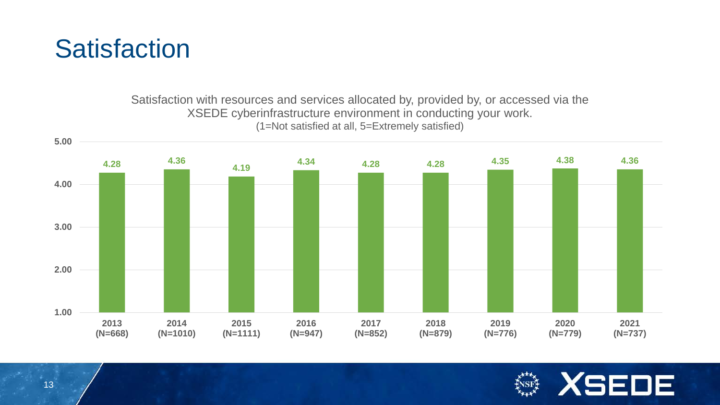## **Satisfaction**

Satisfaction with resources and services allocated by, provided by, or accessed via the XSEDE cyberinfrastructure environment in conducting your work. (1=Not satisfied at all, 5=Extremely satisfied)



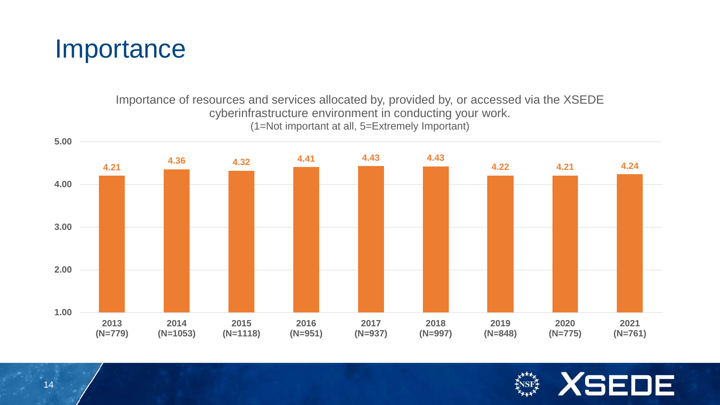

#### Importance of resources and services allocated by, provided by, or accessed via the XSEDE cyberinfrastructure environment in conducting your work. (1=Not important at all, 5=Extremely Important)



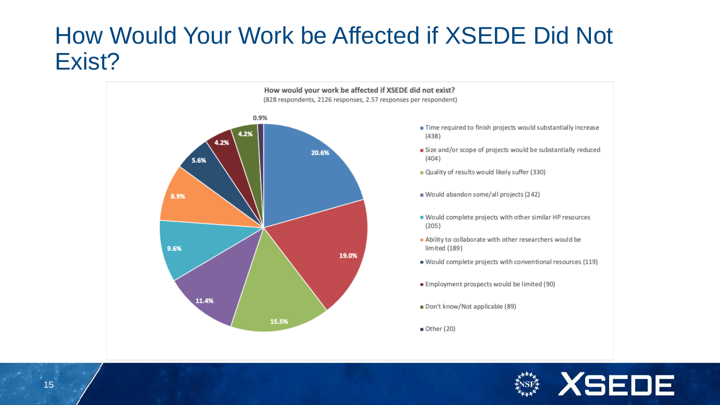#### How Would Your Work be Affected if XSEDE Did Not Exist?



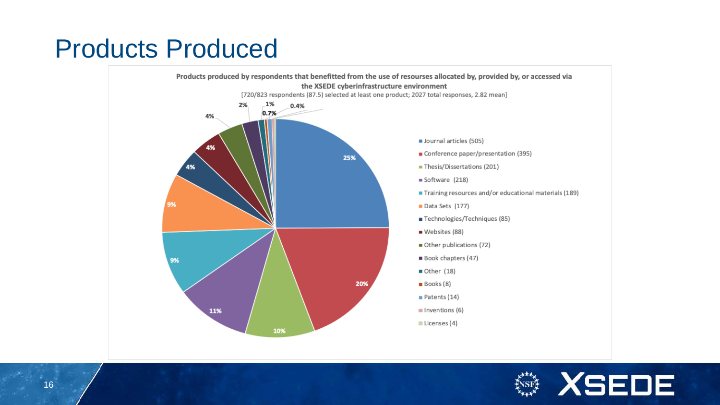# Products Produced



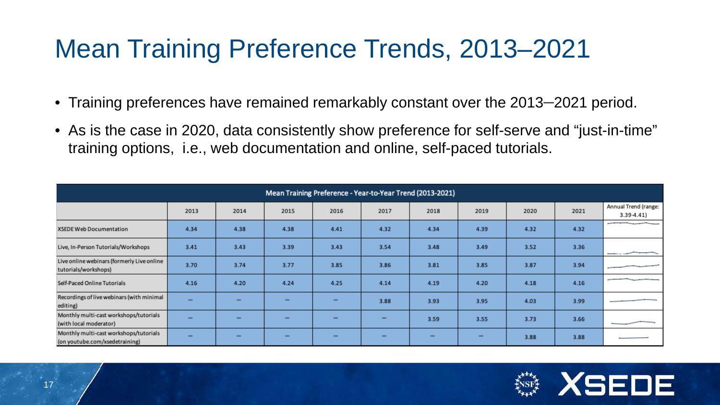# Mean Training Preference Trends, 2013–2021

- Training preferences have remained remarkably constant over the 2013–2021 period.
- As is the case in 2020, data consistently show preference for self-serve and "just-in-time" training options, i.e., web documentation and online, self-paced tutorials.

| Mean Training Preference - Year-to-Year Trend (2013-2021)                |                          |      |                              |                          |                          |                          |                          |      |      |                                         |  |
|--------------------------------------------------------------------------|--------------------------|------|------------------------------|--------------------------|--------------------------|--------------------------|--------------------------|------|------|-----------------------------------------|--|
|                                                                          | 2013                     | 2014 | 2015                         | 2016                     | 2017                     | 2018                     | 2019                     | 2020 | 2021 | Annual Trend (range:<br>3.39-4.41)      |  |
| XSEDE Web Documentation                                                  | 4.34                     | 4.38 | 4.38                         | 4.41                     | 4.32                     | 4.34                     | 4.39                     | 4.32 | 4.32 | provided a series of the company's con- |  |
| Live, In-Person Tutorials/Workshops                                      | 3.41                     | 3.43 | 3.39                         | 3.43                     | 3.54                     | 3.48                     | 3.49                     | 3.52 | 3.36 | ___                                     |  |
| Live online webinars (formerly Live online<br>tutorials/workshops)       | 3.70                     | 3.74 | 3.77                         | 3.85                     | 3.86                     | 3.81                     | 3.85                     | 3.87 | 3.94 |                                         |  |
| Self-Paced Online Tutorials                                              | 4.16                     | 4.20 | 4.24                         | 4.25                     | 4.14                     | 4.19                     | 4.20                     | 4.18 | 4.16 | the control of the control of           |  |
| Recordings of live webinars (with minimal<br>editing)                    | -                        | -    | $\qquad \qquad \blacksquare$ | $\overline{\phantom{0}}$ | 3.88                     | 3.93                     | 3.95                     | 4.03 | 3.99 |                                         |  |
| Monthly multi-cast workshops/tutorials<br>(with local moderator)         | -                        | -    | $\overline{\phantom{0}}$     | $\overline{\phantom{0}}$ | $\overline{\phantom{0}}$ | 3.59                     | 3.55                     | 3.73 | 3.66 |                                         |  |
| Monthly multi-cast workshops/tutorials<br>(on youtube.com/xsedetraining) | $\overline{\phantom{0}}$ | -    | $\overline{\phantom{0}}$     | -                        | -                        | $\overline{\phantom{0}}$ | $\overline{\phantom{0}}$ | 3.88 | 3.88 |                                         |  |

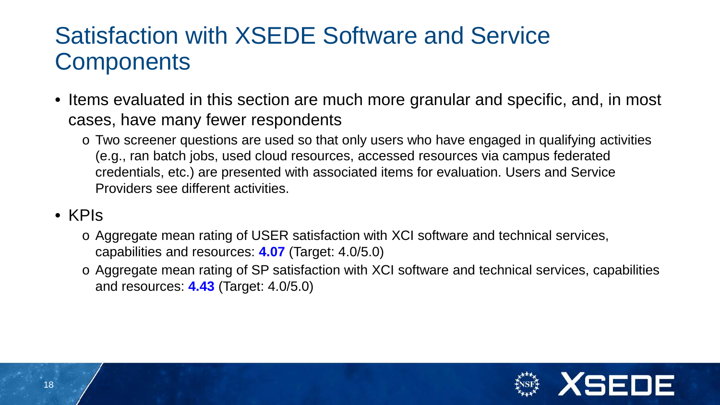## Satisfaction with XSEDE Software and Service **Components**

- Items evaluated in this section are much more granular and specific, and, in most cases, have many fewer respondents
	- o Two screener questions are used so that only users who have engaged in qualifying activities (e.g., ran batch jobs, used cloud resources, accessed resources via campus federated credentials, etc.) are presented with associated items for evaluation. Users and Service Providers see different activities.
- KPIs
	- o Aggregate mean rating of USER satisfaction with XCI software and technical services, capabilities and resources: **4.07** (Target: 4.0/5.0)
	- o Aggregate mean rating of SP satisfaction with XCI software and technical services, capabilities and resources: **4.43** (Target: 4.0/5.0)

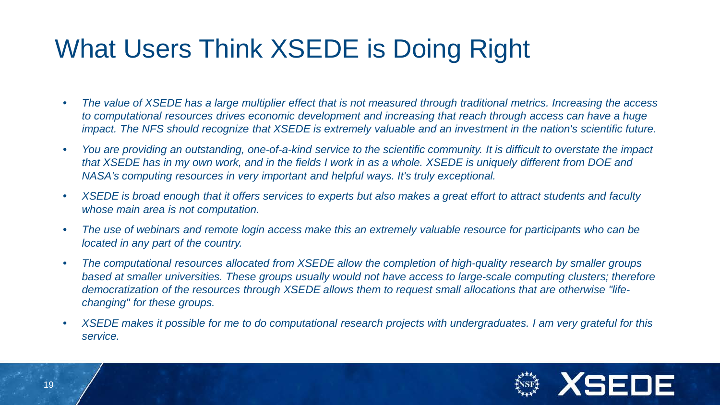# What Users Think XSEDE is Doing Right

- *The value of XSEDE has a large multiplier effect that is not measured through traditional metrics. Increasing the access to computational resources drives economic development and increasing that reach through access can have a huge impact. The NFS should recognize that XSEDE is extremely valuable and an investment in the nation's scientific future.*
- *You are providing an outstanding, one-of-a-kind service to the scientific community. It is difficult to overstate the impact that XSEDE has in my own work, and in the fields I work in as a whole. XSEDE is uniquely different from DOE and NASA's computing resources in very important and helpful ways. It's truly exceptional.*
- *XSEDE is broad enough that it offers services to experts but also makes a great effort to attract students and faculty whose main area is not computation.*
- *The use of webinars and remote login access make this an extremely valuable resource for participants who can be located in any part of the country.*
- *The computational resources allocated from XSEDE allow the completion of high-quality research by smaller groups based at smaller universities. These groups usually would not have access to large-scale computing clusters; therefore democratization of the resources through XSEDE allows them to request small allocations that are otherwise "lifechanging" for these groups.*
- *XSEDE makes it possible for me to do computational research projects with undergraduates. I am very grateful for this service.*

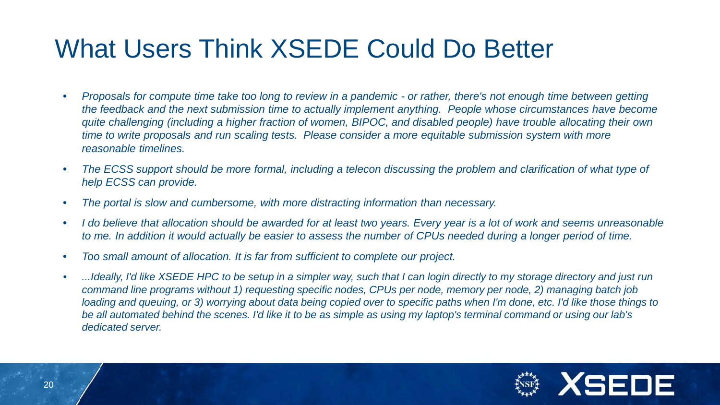# What Users Think XSEDE Could Do Better

- *Proposals for compute time take too long to review in a pandemic - or rather, there's not enough time between getting the feedback and the next submission time to actually implement anything. People whose circumstances have become quite challenging (including a higher fraction of women, BIPOC, and disabled people) have trouble allocating their own time to write proposals and run scaling tests. Please consider a more equitable submission system with more reasonable timelines.*
- *The ECSS support should be more formal, including a telecon discussing the problem and clarification of what type of help ECSS can provide.*
- *The portal is slow and cumbersome, with more distracting information than necessary.*
- *I do believe that allocation should be awarded for at least two years. Every year is a lot of work and seems unreasonable to me. In addition it would actually be easier to assess the number of CPUs needed during a longer period of time.*
- *Too small amount of allocation. It is far from sufficient to complete our project.*
- *...Ideally, I'd like XSEDE HPC to be setup in a simpler way, such that I can login directly to my storage directory and just run command line programs without 1) requesting specific nodes, CPUs per node, memory per node, 2) managing batch job loading and queuing, or 3) worrying about data being copied over to specific paths when I'm done, etc. I'd like those things to be all automated behind the scenes. I'd like it to be as simple as using my laptop's terminal command or using our lab's dedicated server.*

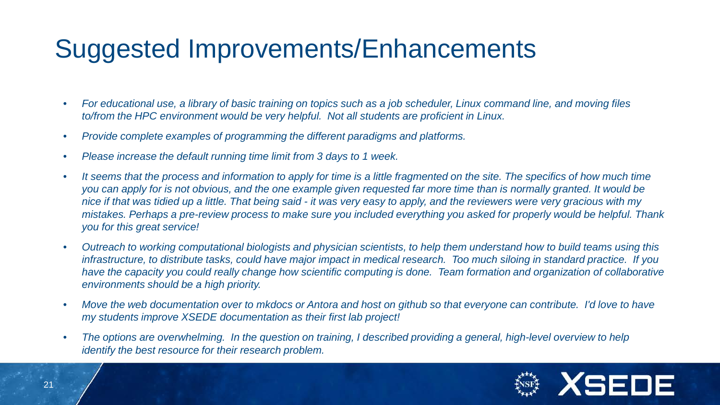# Suggested Improvements/Enhancements

- *For educational use, a library of basic training on topics such as a job scheduler, Linux command line, and moving files to/from the HPC environment would be very helpful. Not all students are proficient in Linux.*
- *Provide complete examples of programming the different paradigms and platforms.*
- *Please increase the default running time limit from 3 days to 1 week.*
- *It seems that the process and information to apply for time is a little fragmented on the site. The specifics of how much time you can apply for is not obvious, and the one example given requested far more time than is normally granted. It would be nice if that was tidied up a little. That being said - it was very easy to apply, and the reviewers were very gracious with my mistakes. Perhaps a pre-review process to make sure you included everything you asked for properly would be helpful. Thank you for this great service!*
- *Outreach to working computational biologists and physician scientists, to help them understand how to build teams using this infrastructure, to distribute tasks, could have major impact in medical research. Too much siloing in standard practice. If you have the capacity you could really change how scientific computing is done. Team formation and organization of collaborative environments should be a high priority.*
- *Move the web documentation over to mkdocs or Antora and host on github so that everyone can contribute. I'd love to have my students improve XSEDE documentation as their first lab project!*
- *The options are overwhelming. In the question on training, I described providing a general, high-level overview to help identify the best resource for their research problem.*

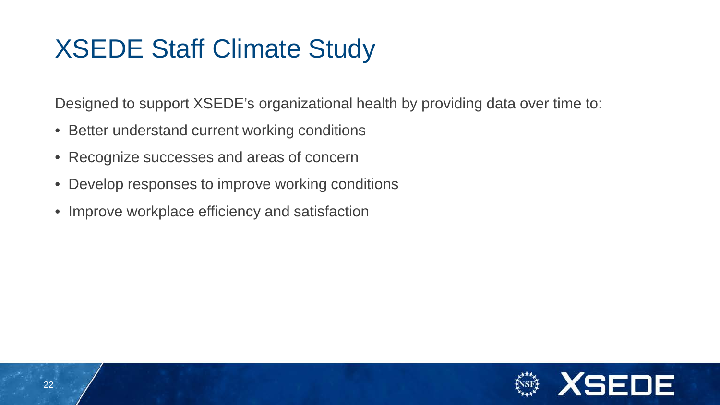# XSEDE Staff Climate Study

Designed to support XSEDE's organizational health by providing data over time to:

- Better understand current working conditions
- Recognize successes and areas of concern
- Develop responses to improve working conditions
- Improve workplace efficiency and satisfaction

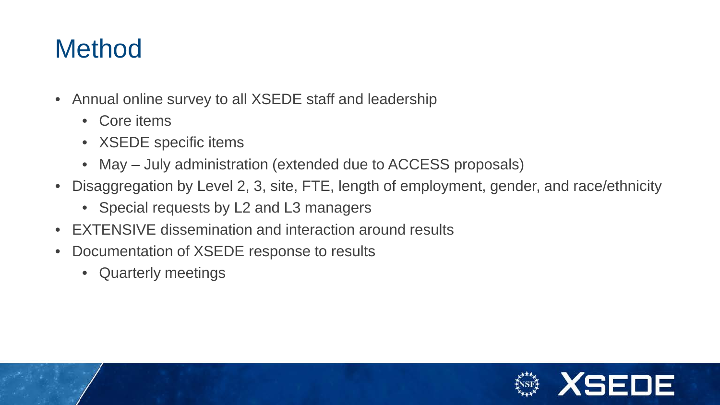# **Method**

- Annual online survey to all XSEDE staff and leadership
	- Core items
	- XSEDE specific items
	- May July administration (extended due to ACCESS proposals)
- Disaggregation by Level 2, 3, site, FTE, length of employment, gender, and race/ethnicity
	- Special requests by L2 and L3 managers
- EXTENSIVE dissemination and interaction around results
- Documentation of XSEDE response to results
	- Quarterly meetings

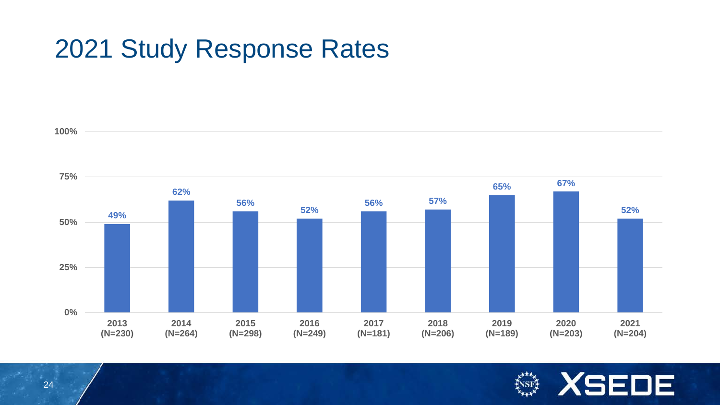## 2021 Study Response Rates



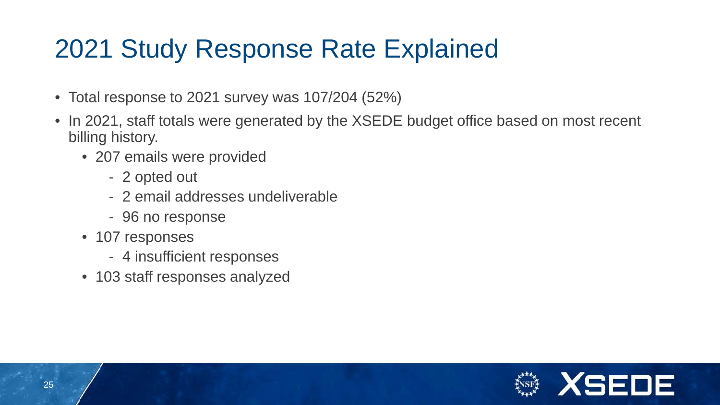# 2021 Study Response Rate Explained

- Total response to 2021 survey was 107/204 (52%)
- In 2021, staff totals were generated by the XSEDE budget office based on most recent billing history.
	- 207 emails were provided
		- 2 opted out
		- 2 email addresses undeliverable
		- 96 no response
	- 107 responses
		- 4 insufficient responses
	- 103 staff responses analyzed

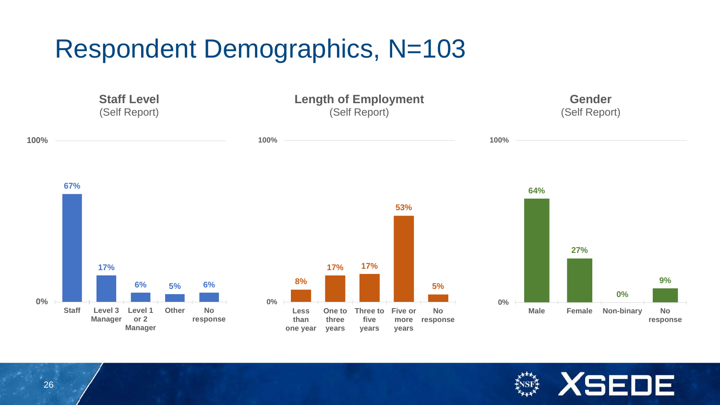# Respondent Demographics, N=103



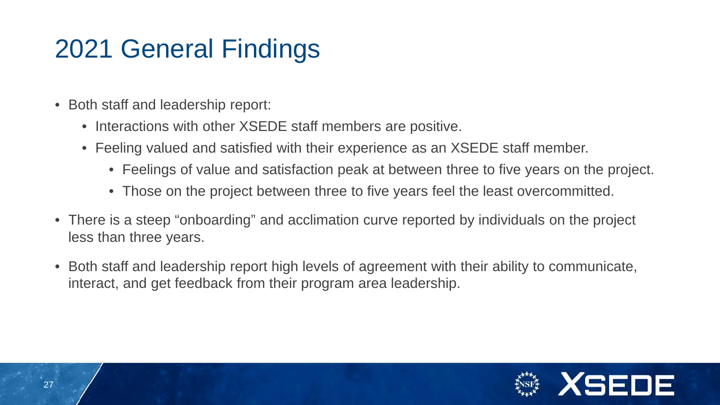# 2021 General Findings

- Both staff and leadership report:
	- Interactions with other XSEDE staff members are positive.
	- Feeling valued and satisfied with their experience as an XSEDE staff member.
		- Feelings of value and satisfaction peak at between three to five years on the project.
		- Those on the project between three to five years feel the least overcommitted.
- There is a steep "onboarding" and acclimation curve reported by individuals on the project less than three years.
- Both staff and leadership report high levels of agreement with their ability to communicate, interact, and get feedback from their program area leadership.

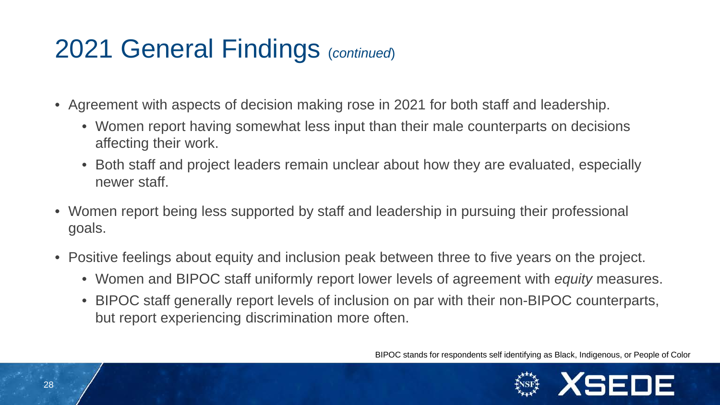# 2021 General Findings (*continued*)

- Agreement with aspects of decision making rose in 2021 for both staff and leadership.
	- Women report having somewhat less input than their male counterparts on decisions affecting their work.
	- Both staff and project leaders remain unclear about how they are evaluated, especially newer staff.
- Women report being less supported by staff and leadership in pursuing their professional goals.
- Positive feelings about equity and inclusion peak between three to five years on the project.
	- Women and BIPOC staff uniformly report lower levels of agreement with *equity* measures.
	- BIPOC staff generally report levels of inclusion on par with their non-BIPOC counterparts, but report experiencing discrimination more often.

BIPOC stands for respondents self identifying as Black, Indigenous, or People of Color

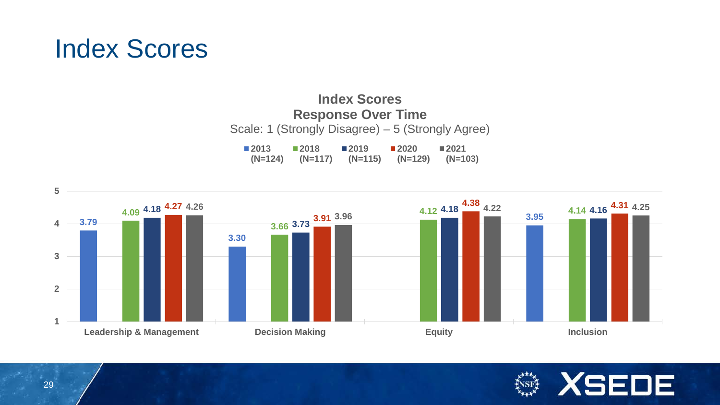## Index Scores

#### **Index Scores Response Over Time** Scale: 1 (Strongly Disagree) – 5 (Strongly Agree) **2013 2018 2019 2020 2021**

**(N=124) (N=117) (N=115) (N=129) (N=103)**



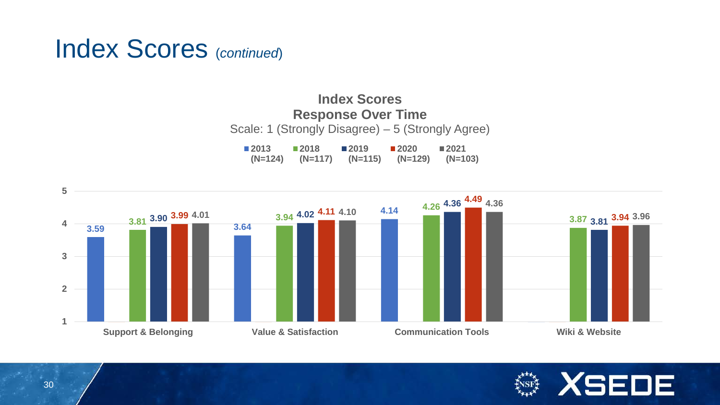#### Index Scores (*continued*)

#### **Index Scores Response Over Time** Scale: 1 (Strongly Disagree) – 5 (Strongly Agree) **2013 2018 2019 2020 2021**

**(N=124) (N=117) (N=115) (N=129) (N=103)**



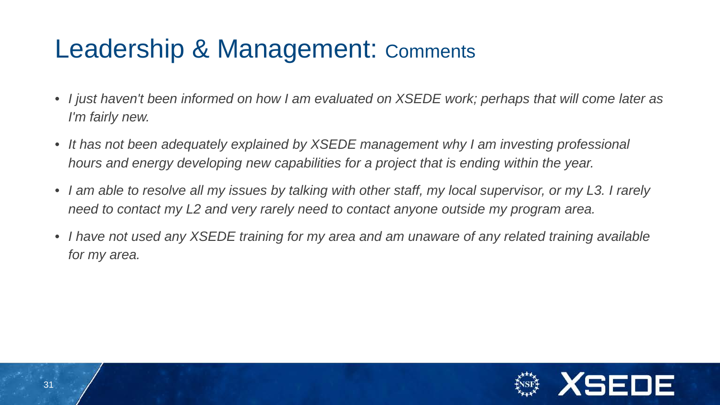# Leadership & Management: Comments

- *I just haven't been informed on how I am evaluated on XSEDE work; perhaps that will come later as I'm fairly new.*
- *It has not been adequately explained by XSEDE management why I am investing professional hours and energy developing new capabilities for a project that is ending within the year.*
- *I am able to resolve all my issues by talking with other staff, my local supervisor, or my L3. I rarely need to contact my L2 and very rarely need to contact anyone outside my program area.*
- *I have not used any XSEDE training for my area and am unaware of any related training available for my area.*

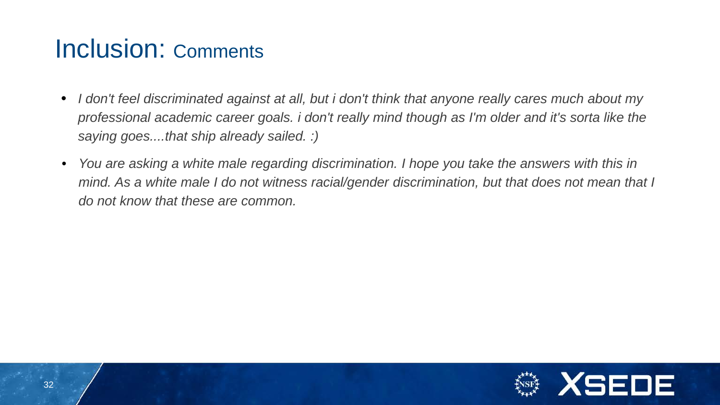## Inclusion: Comments

- *I don't feel discriminated against at all, but i don't think that anyone really cares much about my professional academic career goals. i don't really mind though as I'm older and it's sorta like the saying goes....that ship already sailed. :)*
- *You are asking a white male regarding discrimination. I hope you take the answers with this in mind.* As a white male I do not witness racial/gender discrimination, but that does not mean that I *do not know that these are common.*